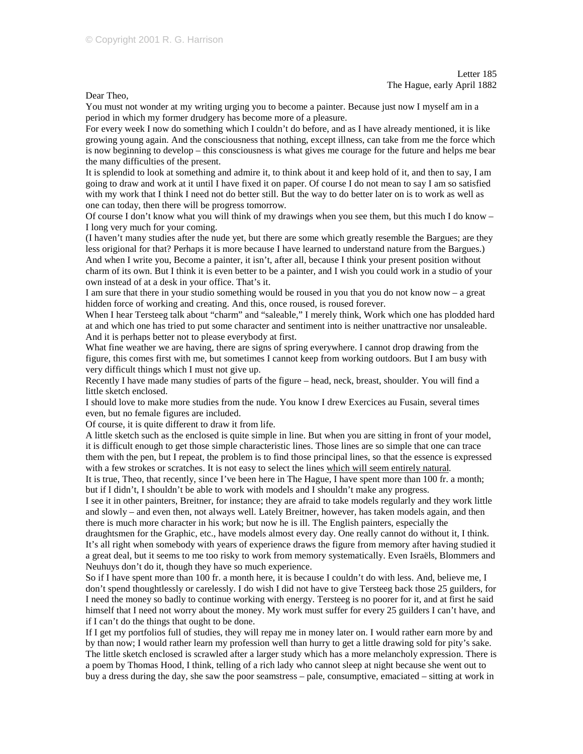Dear Theo,

You must not wonder at my writing urging you to become a painter. Because just now I myself am in a period in which my former drudgery has become more of a pleasure.

For every week I now do something which I couldn't do before, and as I have already mentioned, it is like growing young again. And the consciousness that nothing, except illness, can take from me the force which is now beginning to develop – this consciousness is what gives me courage for the future and helps me bear the many difficulties of the present.

It is splendid to look at something and admire it, to think about it and keep hold of it, and then to say, I am going to draw and work at it until I have fixed it on paper. Of course I do not mean to say I am so satisfied with my work that I think I need not do better still. But the way to do better later on is to work as well as one can today, then there will be progress tomorrow.

Of course I don't know what you will think of my drawings when you see them, but this much I do know – I long very much for your coming.

(I haven't many studies after the nude yet, but there are some which greatly resemble the Bargues; are they less origional for that? Perhaps it is more because I have learned to understand nature from the Bargues.) And when I write you, Become a painter, it isn't, after all, because I think your present position without charm of its own. But I think it is even better to be a painter, and I wish you could work in a studio of your own instead of at a desk in your office. That's it.

I am sure that there in your studio something would be roused in you that you do not know now – a great hidden force of working and creating. And this, once roused, is roused forever.

When I hear Tersteeg talk about "charm" and "saleable," I merely think, Work which one has plodded hard at and which one has tried to put some character and sentiment into is neither unattractive nor unsaleable. And it is perhaps better not to please everybody at first.

What fine weather we are having, there are signs of spring everywhere. I cannot drop drawing from the figure, this comes first with me, but sometimes I cannot keep from working outdoors. But I am busy with very difficult things which I must not give up.

Recently I have made many studies of parts of the figure – head, neck, breast, shoulder. You will find a little sketch enclosed.

I should love to make more studies from the nude. You know I drew Exercices au Fusain, several times even, but no female figures are included.

Of course, it is quite different to draw it from life.

A little sketch such as the enclosed is quite simple in line. But when you are sitting in front of your model, it is difficult enough to get those simple characteristic lines. Those lines are so simple that one can trace them with the pen, but I repeat, the problem is to find those principal lines, so that the essence is expressed with a few strokes or scratches. It is not easy to select the lines which will seem entirely natural*.*

It is true, Theo, that recently, since I've been here in The Hague, I have spent more than 100 fr. a month; but if I didn't, I shouldn't be able to work with models and I shouldn't make any progress.

I see it in other painters, Breitner, for instance; they are afraid to take models regularly and they work little and slowly – and even then, not always well. Lately Breitner, however, has taken models again, and then there is much more character in his work; but now he is ill. The English painters, especially the

draughtsmen for the Graphic, etc., have models almost every day. One really cannot do without it, I think. It's all right when somebody with years of experience draws the figure from memory after having studied it a great deal, but it seems to me too risky to work from memory systematically. Even Israëls, Blommers and Neuhuys don't do it, though they have so much experience.

So if I have spent more than 100 fr. a month here, it is because I couldn't do with less. And, believe me, I don't spend thoughtlessly or carelessly. I do wish I did not have to give Tersteeg back those 25 guilders, for I need the money so badly to continue working with energy. Tersteeg is no poorer for it, and at first he said himself that I need not worry about the money. My work must suffer for every 25 guilders I can't have, and if I can't do the things that ought to be done.

If I get my portfolios full of studies, they will repay me in money later on. I would rather earn more by and by than now; I would rather learn my profession well than hurry to get a little drawing sold for pity's sake. The little sketch enclosed is scrawled after a larger study which has a more melancholy expression. There is a poem by Thomas Hood, I think, telling of a rich lady who cannot sleep at night because she went out to buy a dress during the day, she saw the poor seamstress – pale, consumptive, emaciated – sitting at work in